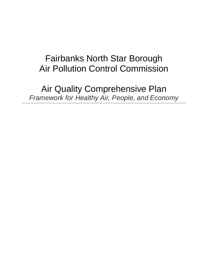# Fairbanks North Star Borough Air Pollution Control Commission

Air Quality Comprehensive Plan *Framework for Healthy Air, People, and Economy*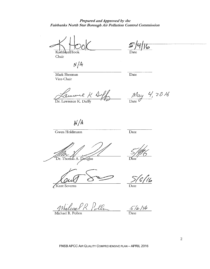Prepared and Approved by the Fairbanks North Star Borough Air Pollution Control Commission

Kathleen Hook Chair

Date

 $N/A$ 

Mark Sherman Vice-Chair

Date

amane K Dr. Lawrence K. Duffy

 $\frac{May}{\text{Date}}$  4, 2016

 $N/A$ 

Gwen Holdmann

 $\overline{Date}$ 

Dr. Thomas A. Douglas

Kent Severns

'ilə

Date

Wilcon R. Polla

Michael R. Pollen

 $\frac{5}{6}$ /6/16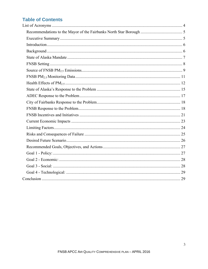## **Table of Contents**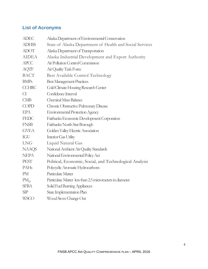## **List of Acronyms**

| <b>ADEC</b>   | Alaska Department of Environmental Conservation          |
|---------------|----------------------------------------------------------|
| <b>ADHSS</b>  | State of Alaska Department of Health and Social Services |
| <b>ADOT</b>   | Alaska Department of Transportation                      |
| <b>AIDEA</b>  | Alaska Industrial Development and Export Authority       |
| <b>APCC</b>   | Air Pollution Control Commission                         |
| <b>AQTF</b>   | Air Quality Task Force                                   |
| <b>BACT</b>   | Best Available Control Technology                        |
| <b>BMPs</b>   | <b>Best Management Practices</b>                         |
| <b>CCHRC</b>  | Cold Climate Housing Research Center                     |
| $\mathcal{C}$ | Confidence Interval                                      |
| CMB           | <b>Chemical Mass Balance</b>                             |
| <b>COPD</b>   | Chronic Obstructive Pulmonary Disease                    |
| <b>EPA</b>    | <b>Environmental Protection Agency</b>                   |
| <b>FEDC</b>   | Fairbanks Economic Development Corporation               |
| <b>FNSB</b>   | Fairbanks North Star Borough                             |
| <b>GVEA</b>   | Golden Valley Electric Association                       |
| <b>IGU</b>    | Interior Gas Utility                                     |
| <b>LNG</b>    | Liquid Natural Gas                                       |
| <b>NAAQS</b>  | National Ambient Air Quality Standards                   |
| <b>NEPA</b>   | National Environmental Policy Act                        |
| <b>PEST</b>   | Political, Economic, Social, and Technological Analysis  |
| PAHs          | Polycyclic Aromatic Hydrocarbons                         |
| <b>PM</b>     | Particulate Matter                                       |
| $PM_{25}$     | Particulate Matter less than 2.5 micrometers in diameter |
| <b>SFBA</b>   | Solid Fuel Burning Appliances                            |
| SIP           | State Implementation Plan                                |
| <b>WSCO</b>   | Wood Stove Change Out                                    |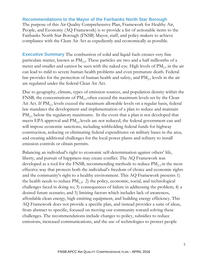#### **Recommendations to the Mayor of the Fairbanks North Star Borough**

The purpose of this Air Quality Comprehensive Plan, Framework for Healthy Air, People, and Economy (AQ Framework) is to provide a list of actionable items to the Fairbanks North Star Borough (FNSB) Mayor, staff, and policy makers to achieve compliance with the Clean Air Act as expediently and economically as possible.

**Executive Summary** The combustion of solid and liquid fuels creates very fine particulate matter, known as  $PM<sub>2.5</sub>$ . These particles are two and a half millionths of a meter and smaller and cannot be seen with the naked eye. High levels of  $PM_{2.5}$  in the air can lead to mild to severe human health problems and even premature death. Federal law provides for the protection of human health and safety, and  $PM_{2.5}$  levels in the air are regulated under the federal Clean Air Act.

Due to geography, climate, types of emission sources, and population density within the FNSB, the concentrations of  $PM_{2.5}$  often exceed the maximum levels set by the Clean Air Act. If  $PM_{25}$  levels exceed the maximum allowable levels on a regular basis, federal law mandates the development and implementation of a plan to reduce and maintain PM<sub>2.5</sub> below the regulatory maximums. In the event that a plan is not developed that meets EPA approval and PM<sub>2.5</sub> levels are not reduced, the federal government can and will impose economic sanctions, including withholding federal funds for highway construction, reducing or eliminating federal expenditures on military bases in the area, and creating additional challenges for the local power plants and refinery to install emission controls or obtain permits.

Balancing an individual's right to economic self-determination against others' life, liberty, and pursuit of happiness may create conflict. The AQ Framework was developed as a tool for the FNSB, recommending methods to reduce  $PM_{2.5}$  in the most effective way that protects both the individual's freedom of choice and economic rights and the community's right to a healthy environment. This AQ Framework presents 1) the health needs to reduce  $PM_{2.5}$ ; 2) the policy, economic, social, and technological challenges faced in doing so; 3) consequences of failure in addressing the problem; 4) a desired future scenario; and 5) limiting factors which includes lack of awareness, affordable clean energy, high emitting equipment, and building energy efficiency. This AQ Framework does not provide a specific plan, and instead provides a suite of ideas, from abstract to specific, focused on moving our community toward solving these challenges. The recommendations include changes to policy, subsidies to reduce emissions, increased communications, and the use of technologies to protect people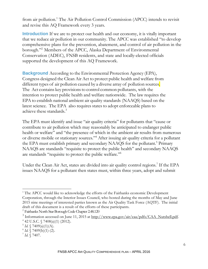from air pollution.<sup>1</sup> The Air Pollution Control Commission (APCC) intends to revisit and revise this AQ Framework every 3 years.

**Introduction** If we are to protect our health and our economy, it is vitally important that we reduce air pollution in our community. The APCC was established "to develop comprehensive plans for the prevention, abatement, and control of air pollution in the borough."2 Members of the APCC, Alaska Department of Environmental Conservation (ADEC), FNSB residents, and state and locally-elected officials supported the development of this AQ Framework.

**Background** According to the Environmental Protection Agency (EPA), Congress designed the Clean Air Act to protect public health and welfare from different types of air pollution caused by a diverse array of pollution sources. The Act contains key provisions to control common pollutants, with the intention to protect public health and welfare nationwide. The law requires the EPA to establish national ambient air quality standards (NAAQS) based on the latest science. The EPA also requires states to adopt enforceable plans to achieve these standards.<sup>3</sup>

The EPA must identify and issue "air quality criteria" for pollutants that "cause or contribute to air pollution which may reasonably be anticipated to endanger public health or welfare" and "the presence of which in the ambient air results from numerous or diverse mobile or stationary sources."4 After issuing air quality criteria for a pollutant the EPA must establish primary and secondary NAAQS for the pollutant.<sup>5</sup> Primary NAAQS are standards "requisite to protect the public health" and secondary NAAQS are standards "requisite to protect the public welfare."6

Under the Clean Air Act, states are divided into air quality control regions.<sup>7</sup> If the EPA issues NAAQS for a pollutant then states must, within three years, adopt and submit

 $\overline{a}$ <sup>1</sup> The APCC would like to acknowledge the efforts of the Fairbanks economic Development Corporation, through the Interior Issues Council, who hosted during the months of May and June 2015 nine meetings of interested parties known as the Air Quality Task Force (AQTF). The initial draft of this document is a result of the efforts of these participants.

<sup>2</sup> Fairbanks North Star Borough Code Chapter 2.48.120

<sup>&</sup>lt;sup>3</sup> Information accessed on June 11, 2015 at  $\frac{\text{http://www.epa.gov/air/caa/pdfs/CAA-Nutshell.pdf.}}{\text{http://www.epa.gov/air/caa/pdfs/CAA-Nutshell.pdf.}}$ 

 $4$  42 U.S.C.  $\sqrt{7408(a)(1)}$  (2012).

 $5$  *Id.*  $\sqrt{7409(a)(1)(A)}$ .

 $^{6}$  *Id.* § 7409(b)(1)-(2).<br><sup>7</sup> *Id.* § 7407.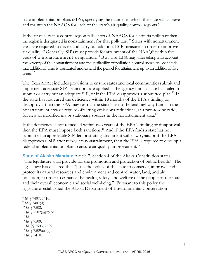state implementation plans (SIPs), specifying the manner in which the state will achieve and maintain the NAAQS for each of the state's air quality control regions.<sup>8</sup>

If the air quality in a control region falls short of NAAQS for a criteria pollutant then the region is designated in nonattainment for that pollutant.<sup>9</sup> States with nonattainment areas are required to devise and carry out additional SIP measures in order to improve air quality. 10 Generally, SIPs must provide for attainment of the NAAQS within five years of a nonattainment designation.<sup>11</sup> But the EPA may, after taking into account the severity of the nonattainment and the availability of pollution control measures, conclude that additional time is warranted and extend the period for attainment up to an additional five years. 12

The Clean Air Act includes provisions to ensure states and local communities submit and implement adequate SIPs. Sanctions are applied if the agency finds a state has failed to submit or carry out an adequate SIP, or if the EPA disapproves a submitted plan.<sup>13</sup> If the state has not cured the deficiency within 18 months of the EPA's finding or disapproval then the EPA may restrict the state's use of federal highway funds in the nonattainment area or require offsetting emissions reductions, at a two-to-one ratio, for new or modified major stationary sources in the nonattainment area.<sup>14</sup>

If the deficiency is not remedied within two years of the EPA's finding or disapproval then the EPA must impose both sanctions.<sup>15</sup> And if the EPA finds a state has not submitted an approvable SIP demonstrating attainment within two years, or if the EPA disapproves a SIP after two-years nonattainment, then the EPA is required to develop a federal implementation plan to ensure air quality improvement.<sup>16</sup>

**State of Alaska Mandate** Article 7, Section 4 of the Alaska Constitution states,: "The legislature shall provide for the promotion and protection of public health." The legislature has declared that "[i]t is the policy of the state to conserve, improve, and protect its natural resources and environment and control water, land, and air pollution, in order to enhance the health, safety, and welfare of the people of the state and their overall economic and social well-being." Pursuant to this policy the legislature established the Alaska Department of Environmental Conservation

- 
- <sup>13</sup> *Id.* § 7509.

<sup>16</sup> *Id.* § 7410.

 $\overline{a}$ <sup>8</sup> *Id.* § 7407, 7410.

 $^{9}$  *Id.*  $\sqrt{7407}$ (d).

<sup>10</sup> *Id.* § 7502.

<sup>&</sup>lt;sup>11</sup> *Id.* § 7502(a)(2)(A).<br><sup>12</sup> *Id.* 

<sup>14</sup> *Id.* §§ 7503, 7509.

<sup>&</sup>lt;sup>15</sup> *Id.*  $\sqrt{(7509(a)-b)}$ .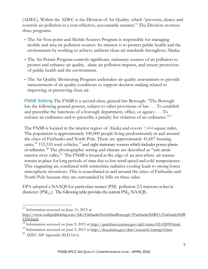(ADEC). Within the ADEC is the Division of Air Quality, which "prevents, abates and controls air pollution in a cost-effective, accountable manner." The Division oversees three programs:

- The Air Non-point and Mobile Sources Program is responsible for managing mobile and area air pollution sources. Its mission is to protect public health and the environment by working to achieve ambient clean air standards throughout Alaska.
- The Air Permit Program controls significant, stationary sources of air pollution to protect and enhance air quality, abate air pollution impacts, and ensure protection of public health and the environment.
- The Air Quality Monitoring Program undertakes air quality assessments to provide measurement of air quality conditions to support decision making related to improving or preserving clean air.

**FNSB Setting** The FNSB is a second-class, general law Borough. "The Borough has the following general powers, subject to other provisions of law . . . To establish and prescribe the functions of a borough department, office, or agency . . . To enforce an ordinance and to prescribe a penalty for violation of an ordinance."<sup>17</sup>

The FNSB is located in the interior region of Alaska and covers 7,444 square miles. The population is approximately 100,000 people living predominantly in and around the cities of Fairbanks and North Pole. There are approximately 41,607 housing units, $^{18}$  153,333 total vehicles, $^{19}$  and eight stationary sources which includes power plants or refineries. 20 The physiographic setting and climate are described as "sub-arctic interior river valley." The FNSB is located at the edge of an area where air masses remain in place for long periods of time due to low wind speed and cold temperatures. This stagnating air, combined with wintertime radiative cooling leads to strong lower atmospheric inversions. This is exacerbated in and around the cities of Fairbanks and North Pole because they are surrounded by hills on three sides.

EPA adopted a NAAQS for particulate matter (PM) pollution 2.5 microns or less in diameter  $(PM_{2.5})$ . The following table provides the current  $PM_{2.5}$  NAAQS.

 $17$  Information accessed on June 11, 2015 at

http://www.codepublishing.com/AK/FairbanksNorthStarBorough/?FairbanksNSB15/FairbanksNSB 1504.html.

<sup>&</sup>lt;sup>18</sup> Information accessed on June 9, 2015 at http://quickfacts.census.gov/qfd/states/02/02090.html.

<sup>&</sup>lt;sup>19</sup> Information accessed on June 9, 2015 at http://doa.alaska.gov/dmv/research/curreg14.htm.

 $^{20}$  ADEC SIP Appendix III.D.5.6-6.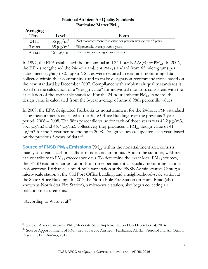| <b>National Ambient Air Quality Standards</b> |                           |                                                               |  |
|-----------------------------------------------|---------------------------|---------------------------------------------------------------|--|
| Particulate Matter PM <sub>25</sub>           |                           |                                                               |  |
| Averaging                                     |                           |                                                               |  |
| Time                                          | Form<br>Level             |                                                               |  |
| $24$ hr                                       | $35 \mu g/m^3$            | Not to exceed more than once per year on average over 3 years |  |
| 3 years                                       | $35 \mu g/m^3$            | 98 percentile, average over 3 years                           |  |
| Annual                                        | 12 $\mu$ g/m <sup>3</sup> | Annual mean, averaged over 3 years                            |  |

In 1997, the EPA established the first annual and 24-hour NAAQS for PM<sub>2.5</sub>. In 2006, the EPA strengthened the 24-hour ambient PM<sub>2.5</sub> standard from 65 micrograms per cubic meter ( $\mu$ g/m<sup>3</sup>) to 35  $\mu$ g/m<sup>3</sup>. States were required to examine monitoring data collected within their communities and to make designation recommendations based on the new standard by December 2007. Compliance with ambient air quality standards is based on the calculation of a "design value" for individual monitors consistent with the calculation of the applicable standard. For the 24-hour ambient  $PM_{2.5}$  standard, the design value is calculated from the 3-year average of annual 98th percentile values.

In 2009, the EPA designated Fairbanks as nonattainment for the 24-hour  $PM_{2.5}$  standard using measurements collected at the State Office Building over the previous 3-year period,  $2006 - 2008$ . The 98th percentile value for each of those years was 42.2  $\mu$ g/m3, 33.1  $\mu$ g/m3 and 46.7  $\mu$ g/m3; collectively they produced a PM<sub>25</sub> design value of 41 μg/m3 for the 3-year period ending in 2008. Design values are updated each year, based on the previous 3-years of data.<sup>21</sup>

**Source of FNSB PM<sub>2.5</sub> Emissions** PM<sub>2.5</sub> within the nonattainment area consists mainly of organic carbon, sulfate, nitrate, and ammonia. And in the summer, wildfires can contribute to  $\text{PM}_{2.5}$  exceedance days. To determine the exact local  $\text{PM}_{2.5}$  sources, the FNSB examined air pollution from three permanent air quality monitoring stations in downtown Fairbanks: a multi-pollutant station at the FNSB Administrative Center; a micro-scale station at the Old Post Office building; and a neighborhood-scale station at the State Office Building. In 2012 the North Pole Fire Station on Hurst Road (also known as North Star Fire Station), a micro-scale station, also began collecting air pollution measurements.

According to Ward et  $al^{22}$ 

 $\overline{a}$ <sup>21</sup> State of Alaska Fairbanks  $\text{PM}_{2.5}$ Moderate State Implementation Plan December 24, 2014

 $^{22}$  Source Apportionment of PM<sub>2.5</sub> in a Subarctic Airshed - Fairbanks, Alaska, Aerosol and Air Quality Research, 12: 536–543, 2012 .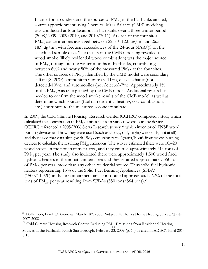In an effort to understand the sources of  $PM_{25}$  in the Fairbanks airshed, source apportionment using Chemical Mass Balance (CMB) modeling was conducted at four locations in Fairbanks over a three-winter period (2008/2009, 2009/2010, and 2010/2011). At each of the four sites, PM<sub>2.5</sub> concentrations averaged between 22.5  $\pm$  12.0  $\mu$ g/m<sup>3</sup> and 26.5  $\pm$ 18.9 μg/m<sup>3</sup>, with frequent exceedances of the 24-hour NAAQS on the scheduled sample days. The results of the CMB modeling revealed that wood smoke (likely residential wood combustion) was the major source of  $PM_{2.5}$  throughout the winter months in Fairbanks, contributing between 60% and nearly 80% of the measured  $PM_{2.5}$  at the four sites. The other sources of  $PM_{25}$  identified by the CMB model were secondary sulfate (8–20%), ammonium nitrate (3–11%), diesel exhaust (not detected-10%), and automobiles (not detected-7%). Approximately 1% of the  $PM_{2.5}$  was unexplained by the CMB model. Additional research is needed to confirm the wood smoke results of the CMB model, as well as determine which sources (fuel oil residential heating, coal combustion, etc.) contribute to the measured secondary sulfate.

In 2009, the Cold Climate Housing Research Center (CCHRC) completed a study which calculated the contribution of  $PM<sub>25</sub>$  emissions from various wood burning devices. CCHRC referenced a 2005/2006 Sierra Research survey 23 which inventoried FNSB wood burning devices and how they were used (such as all day, only night/weekends, not at all) and then used that data along with  $PM_{2.5}$  emission rates (grams/hour) from wood burning devices to calculate the resulting  $PM_{25}$  emissions. The survey estimated there were 10,420 wood stoves in the nonattainment area, and they emitted approximately 214 tons of  $PM_{2.5}$  per year. The study also indicated there were approximately 1,500 wood fired hydronic heaters in the nonattainment area and they emitted approximately 350 tons of  $PM_{2.5}$  per year, more than any other residential source. Thus solid fuel hydronic heaters representing 13% of the Solid Fuel Burning Appliances (SFBA) (1500/11,920) in the non-attainment area contributed approximately 62% of the total tons of  $PM_{2.5}$  per year resulting from SFBAs (350 tons/564 tons).<sup>24</sup>

<sup>&</sup>lt;sup>23</sup> Dulla, Bob, Frank Di Genova. March 18<sup>th</sup>, 2008. Subject: Fairbanks Home Heating Survey, Winter 2007-2008

<sup>&</sup>lt;sup>24</sup> Cold Climate Housing Research Center, Reducing PM<sub>2.5</sub> Emissions from Residential Heating

Sources in the Fairbanks North Star Borough, February 23, 2009 (p. 14) as cited in ADEC's Final 2014 SIP.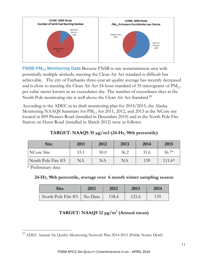

**FNSB PM<sub>2.5</sub> Monitoring Data** Because FNSB is one nonattainment area with potentially multiple airsheds, meeting the Clean Air Act standard is difficult but achievable. The city of Fairbanks three-year air quality average has recently decreased and is close to meeting the Clean Air Act 24-hour standard of 35 micrograms of  $\text{PM}_{2.5}$ per cubic meter known as an exceedance day. The number of exceedance days at the North Pole monitoring site is well above the Clean Air Act Standard. 25

According to the ADEC in its draft monitoring plan for 2014/2015, the Alaska Monitoring NAAQS Summary for  $PM_{2.5}$  for 2011, 2012, and 2013 at the NCore site located at 809 Pioneer Road (installed in December 2010) and at the North Pole Fire Station on Hurst Road (installed in March 2012) were as follows:

### **TARGET: NAAQS 35 μg/m3 (24-Hr, 98th percentile)**

| <b>Site</b>        | 2011 | 2012 | 2013 | 2014 | 2015     |
|--------------------|------|------|------|------|----------|
| NCore Site         | 33.1 | 50.0 | 36.2 | 31.6 | $36.7*$  |
| North Pole Fire #3 | NA   | NA   | NA   | 139  | $111.6*$ |

\* Preliminary data

 $\overline{a}$ 

#### **24-Hr, 98th percentile, average over 6 month winter sampling season**

| <b>Site</b>                  | 2011<br>2012 |       | 2013  | 2014 |
|------------------------------|--------------|-------|-------|------|
| North Pole Fire #3   No Data |              | 158.4 | 121.6 | 139  |

## **TARGET: NAAQS 12 μg/m3 (Annual mean)**

<sup>&</sup>lt;sup>25</sup> ADEC Annual Air Quality Monitoring Network Plan 2014-2015 (Public Notice Draft)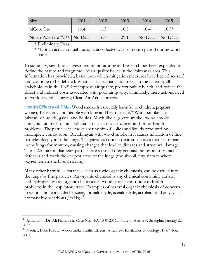| <b>Site</b>                    | 2011 | 2012 | 2013 | 2014    | 2015                             |
|--------------------------------|------|------|------|---------|----------------------------------|
| NCore Site                     | 10.4 | 11.3 | 10.5 | 10.4    | $10.0*$                          |
| North Pole Fire #3**   No Data |      | 16.8 | 29.1 | No Data | $\overline{\phantom{a}}$ No Data |

\* Preliminary Data

 $\overline{a}$ 

\* \*Not an actual annual mean, data collected over 6 month period during winter season

In summary, significant investment in monitoring and research has been expended to define the nature and magnitude of air quality issues in the Fairbanks area. This information has provided a basis upon which mitigation measures have been discussed and continue to be debated. What is clear is that action needs to be taken by all stakeholders in the FNSB to improve air quality, protect public health, and reduce the direct and indirect costs associated with poor air quality. Ultimately, these actions need to work toward achieving Clean Air Act standards.

**Health Effects of PM<sub>2.5</sub>** Wood smoke is especially harmful to children, pregnant women, the elderly, and people with lung and heart disease.<sup>26</sup> Wood smoke is a mixture of solids, gases, and liquids. Much like cigarette smoke, wood smoke contains hundreds of air pollutants that can cause cancer and other health problems. The particles in smoke are tiny bits of solids and liquids produced by incomplete combustion. Breathing air with wood smoke in it causes inhalation of fine particles deeply into the lungs. The particles contain toxic substances that can remain in the lungs for months, causing changes that lead to diseases and structural damage. These 2.5 micron diameter particles are so small they get past the respiratory tract's defenses and reach the deepest areas of the lungs (the alveoli, tiny air sacs where oxygen enters the blood stream).

Many other harmful substances, such as toxic organic chemicals, can be carried into the lungs by fine particles. An organic chemical is any chemical containing carbon and hydrogen. Many organic chemicals in wood smoke contribute to health problems in the respiratory tract. Examples of harmful organic chemicals of concern in wood smoke include: benzene, formaldehyde, acetaldehyde, acrolein, and polycyclic aromatic hydrocarbons (PAHs).27

<sup>&</sup>lt;sup>26</sup> Affidavit of Dr. Ali Hamade in Case No. 4FA-13-01205CI, State of Alaska v. Straughn, January 22, 2013.

<sup>&</sup>lt;sup>27</sup> Naeher, Luke P. et al. Woodsmoke Health Effects: A Review. Inhalation Toxicology, 19:67-106, 2007.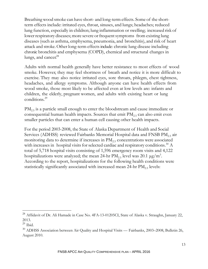Breathing wood smoke can have short- and long-term effects. Some of the shortterm effects include: irritated eyes, throat, sinuses, and lungs; headaches; reduced lung function, especially in children; lung inflammation or swelling; increased risk of lower respiratory diseases; more severe or frequent symptoms from existing lung diseases (such as asthma, emphysema, pneumonia, and bronchitis), and risk of heart attack and stroke. Other long-term effects include: chronic lung disease including chronic bronchitis and emphysema (COPD), chemical and structural changes in lungs, and cancer. $28$ 

Adults with normal health generally have better resistance to most effects of wood smoke. However, they may feel shortness of breath and notice it is more difficult to exercise. They may also notice irritated eyes, sore throats, phlegm, chest tightness, headaches, and allergy symptoms. Although anyone can have health effects from wood smoke, those most likely to be affected even at low levels are: infants and children, the elderly, pregnant women, and adults with existing heart or lung conditions.29

PM<sub>2.5</sub> is a particle small enough to enter the bloodstream and cause immediate or consequential human health impacts. Sources that  $\text{emit PM}_{2.5}$  can also emit even smaller particles that can enter a human cell causing other health impacts.

For the period 2003-2008, the State of Alaska Department of Health and Social Services (ADHSS) reviewed Fairbanks Memorial Hospital data and FNSB  $PM_{25}$  air monitoring data to determine if increases in  $PM<sub>25</sub>$  concentrations were associated with increases in hospital visits for selected cardiac and respiratory conditions.<sup>30</sup> A total of 5,718 hospital visits consisting of 1,596 emergency room visits and 4,122 hospitalizations were analyzed; the mean 24-hr  $\text{PM}_{2.5}$  level was 20.1  $\mu\text{g/m}^3$ . According to the report, hospitalizations for the following health conditions were statistically significantly associated with increased mean  $24$ -hr  $PM_{2.5}$  levels:

<sup>&</sup>lt;sup>28</sup> Affidavit of Dr. Ali Hamade in Case No. 4FA-13-01205CI, State of Alaska v. Straughn, January 22, 2013.

 $29$  Ibid.

<sup>&</sup>lt;sup>30</sup> ADHSS Association between Air Quality and Hospital Visits — Fairbanks, 2003–2008, Bulletin 26, August 2010.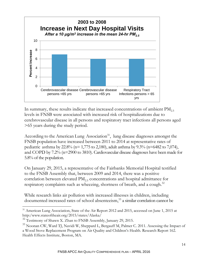

In summary, these results indicate that increased concentrations of ambient  $PM_{2.5}$ levels in FNSB were associated with increased risk of hospitalizations due to cerebrovascular disease in all persons and respiratory tract infections all persons aged >65 years during the study period.

According to the American Lung Association<sup>31</sup>, lung disease diagnoses amongst the FNSB population have increased between 2011 to 2014 at representative rates of pediatric asthma by 22.8% ( $n= 1,775$  to 2,180), adult asthma by 9.3% ( $n=6482$  to 7,074), and COPD by 7.2% (n=2900 to 3810). Cardiovascular disease diagnoses have been made for 5.8% of the population.

On January 29, 2015, a representative of the Fairbanks Memorial Hospital testified to the FNSB Assembly that, between 2009 and 2014, there was a positive correlation between elevated  $PM_{25}$  concentrations and hospital admittance for respiratory complaints such as wheezing, shortness of breath, and a cough.<sup>32</sup>

While research links air pollution with increased illnesses in children, including documented increased rates of school absenteeism,<sup>33</sup> a similar correlation cannot be

<sup>&</sup>lt;sup>31</sup> American Lung Association, State of the Air Report 2012 and 2015, accessed on June 1, 2015 at http:/www.stateoftheair.org/2015/states/Alaska/

<sup>&</sup>lt;sup>32</sup> Testimony of Shawn X. Zhan to FNSB Assembly, January 29, 2015.

 $33$  Noonan CW, Ward TJ, Navidi W, Sheppard L, Bergauff M, Palmer C. 2011. Assessing the Impact of a Wood Stove Replacement Program on Air Quality and Children's Health. Research Report 162. Health Effects Institute, Boston, MA.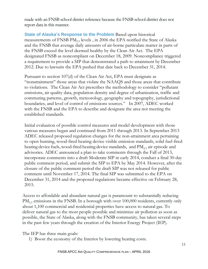made with an FNSB school district reference because the FNSB school district does not report data in this manner.

**State of Alaska's Response to the Problem** Based upon historical measurements of FNSB  $PM<sub>25</sub>$  levels, in 2006 the EPA notified the State of Alaska and the FNSB that average daily amounts of air-borne particulate matter in parts of the FNSB exceed the level deemed healthy by the Clean Air Act. The EPA designated FNSB as noncompliant on December 18, 2009. Noncompliance triggered a requirement to provide a SIP that demonstrated a path to attainment by December 2012. Due to lawsuits the EPA pushed that date back to December 31, 2014.

Pursuant to section 107(d) of the Clean Air Act, EPA must designate as "nonattainment" those areas that violate the NAAQS and those areas that contribute to violations. The Clean Air Act prescribes the methodology to consider "pollutant emissions, air quality data, population density and degree of urbanization, traffic and commuting patterns, growth, meteorology, geography and topography, jurisdictional boundaries, and level of control of emissions sources." In 2007, ADEC worked with the FNSB and the EPA to describe and designate the area not meeting the established standards.

Initial evaluation of possible control measures and model development with those various measures began and continued from 2011 through 2013. In September 2013 ADEC released proposed regulation changes for the non-attainment area pertaining to open burning, wood-fired heating device visible emission standards, solid fuel-fired heating device fuels, wood-fired heating device standards, and  $PM_{25}$  air episode and advisories. ADEC announced a plan to take comments through the Fall of 2013, incorporate comments into a draft Moderate SIP in early 2014, conduct a final 30-day public comment period, and submit the SIP to EPA by May 2014. However, after the closure of the public comment period the draft SIP was not released for public comment until November 17, 2014. The final SIP was submitted to the EPA on December 31, 2014 and the proposed regulations became effective on February 28, 2015.

Access to affordable and abundant natural gas is paramount to substantially reducing PM<sub>2.5</sub> emissions in the FNSB. In a borough with over 100,000 residents, currently only about 1,100 commercial and residential properties have access to natural gas. To deliver natural gas to the most people possible and minimize air pollution as soon as possible, the State of Alaska, along with the FNSB community, has taken several steps in the past few years through the creation of the Interior Energy Project (IEP).

The IEP has three main goals:

1) Boost the economy of the Interior by lowering heating costs.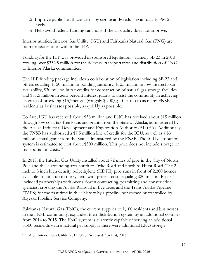- 2) Improve public health concerns by significantly reducing air quality PM 2.5 levels.
- 3) Help avoid federal funding sanctions if the air quality does not improve.

Interior utilities, Interior Gas Utility (IGU) and Fairbanks Natural Gas (FNG) are both project entities within the IEP.

Funding for the IEP was provided in sponsored legislation – namely SB 23 in 2013 totaling over \$332.5 million for the delivery, transportation and distribution of LNG to Interior Alaska communities.

The IEP funding package includes a collaboration of legislation including SB 23 and others equaling \$150 million in bonding authority, \$125 million in low-interest loan availability, \$30 million in tax credits for construction of natural gas storage facilities and \$57.5 million in zero percent interest grants to assist the community in achieving its goals of providing \$15/mcf gas (roughly \$2.00/gal fuel oil) to as many FNSB residents as businesses possible, as quickly as possible.

To date, IGU has received about \$38 million and FNG has received about \$15 million through low cost, tax-free loans and grants from the State of Alaska, administered by the Alaska Industrial Development and Exploration Authority (AIDEA). Additionally, the FNSB has authorized a \$7.5 million line of credit for the IGU, as well as a \$3 million capital grant from the State administered by the FNSB. The IGU distribution system is estimated to cost about \$300 million. This price does not include storage or transportation costs.<sup>34</sup>

In 2015, the Interior Gas Utility installed about 72 miles of pipe in the City of North Pole and the surrounding area south to Dyke Road and north to Hurst Road. The 2 inch to 8 inch high density polyethylene (HDPE) pipe runs in front of 2,200 homes available to hook up to the system, with project costs equaling \$20 million. Phase 1 included partnerships with over a dozen contracting, permitting and construction agencies, crossing the Alaska Railroad in five areas and the Trans-Alaska Pipeline (TAPS) for the first time in their history by a pipeline not owned or controlled by Alyeska Pipeline Service Company.

Fairbanks Natural Gas (FNG), the current supplier to 1,100 residents and businesses in the FNSB community, expanded their distribution system by an additional 60 miles from 2014 to 2015. The FNG system is currently capable of serving an additional 3,500 residents with a natural gas supply if there were additional LNG storage.

 $\overline{a}$ 34"FAQ" Interior Gas Utility. 2013. Web. Accessed April 14, 2016.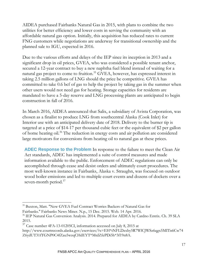AIDEA purchased Fairbanks Natural Gas in 2015, with plans to combine the two utilities for better efficiency and lower costs in serving the community with an affordable natural gas option. Initially, this acquisition has reduced rates to current FNG customers while negotiations are underway for transitional ownership and the planned sale to IGU, expected in 2016.

Due to the various efforts and delays of the IEP since its inception in 2013 and a significant drop in oil prices, GVEA, who was considered a possible tenant anchor, secured a 12-year contract to buy a new naphtha fuel blend instead of waiting for a natural gas project to come to fruition.<sup>35</sup> GVEA, however, has expressed interest in taking 2.5 million gallons of LNG should the price be competitive. GVEA has committed to take 0.6 bcf of gas to help the project by taking gas in the summer when other users would not need gas for heating. Storage capacities for residents are mandated to have a 5-day reserve and LNG processing plants are anticipated to begin construction in fall of 2016.

In March 2016, AIDEA announced that Salix, a subsidiary of Avista Corporation, was chosen as a finalist to produce LNG from southcentral Alaska (Cook Inlet) for Interior use with an anticipated delivery date of 2018. Delivery to the burner tip is targeted at a price of \$14-17 per thousand cubic feet or the equivalent of \$2 per gallon of home heating oil.<sup>36</sup> The reduction in energy costs and air pollution are considered large motivators for conversions from heating oil to natural gas at these prices.

**ADEC Response to the Problem** In response to the failure to meet the Clean Air Act standards, ADEC has implemented a suite of control measures and made information available to the public. Enforcement of ADEC regulations can only be accomplished through cease and desist orders and ultimately court procedures. The most well-known instance in Fairbanks, Alaska v. Straughn, was focused on outdoor wood boiler emissions and led to multiple court events and dozens of dockets over a seven-month period.<sup>37</sup>

<sup>35</sup> Buxton, Matt. "New GVEA Fuel Contract Worries Backers of Natural Gas for Fairbanks." Fairbanks News Miner. N.p., 15 Dec. 2015. Web. 14 Apr. 2016.

<sup>&</sup>lt;sup>36</sup> IEP Natural Gas Conversion Analysis. 2014. Prepared for AIDEA by Cardno Entrix. Ch. 39 SLA 2015.

 $37$  Case number 4FA-13-01205CI, information accessed on July 8, 2015 at

http://www.courtrecords.alaska.gov/eservices/?x=EH\*tNFLDzxby5R7WlCJWSz6qgx5MITn6Cw74 Z6ydUT31fTGNP0C4fZau5wzqCHdEYT\*MtdZfePDi5h\*3f19n8A.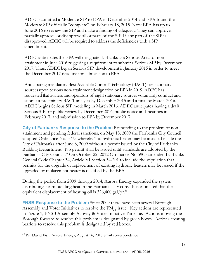ADEC submitted a Moderate SIP to EPA in December 2014 and EPA found the Moderate SIP officially "complete" on February 18, 2015. Now EPA has up to June 2016 to review the SIP and make a finding of adequacy. They can approve, partially approve, or disapprove all or parts of the SIP. If any part of the SIP is disapproved, ADEC will be required to address the deficiencies with a SIP amendment.

ADEC anticipates the EPA will designate Fairbanks as a Serious Area for nonattainment in June 2016 triggering a requirement to submit a Serious SIP by December 2017. Thus, ADEC began Serious SIP development in January 2015 in order to meet the December 2017 deadline for submission to EPA.

Anticipating mandatory Best Available Control Technology (BACT) for stationary sources upon Serious non-attainment designation by EPA in 2019, ADEC has requested that owners and operators of eight stationary sources voluntarily conduct and submit a preliminary BACT analysis by December 2015 and a final by March 2016. ADEC begins Serious SIP modeling in March 2016. ADEC anticipates having a draft Serious SIP for public review by December 2016, public notice and hearings in February 2017, and submission to EPA by December 2017.

**City of Fairbanks Response to the Problem** Responding to the problem of nonattainment and pending federal sanctions, on May 18, 2009 the Fairbanks City Council adopted Ordinance No. 5775 whereby "no hydronic heater may be installed inside the City of Fairbanks after June 8, 2009 without a permit issued by the City of Fairbanks Building Department. No permit shall be issued until standards are adopted by the Fairbanks City Council." On October 22, 2012 Ordinance No 5903 amended Fairbanks General Code Chapter 34, Article VI Section 34-201 to include the stipulation that permits for the upgrade or replacement of existing hydronic heaters may be issued if the upgraded or replacement heater is qualified by the EPA.

During the period from 2009 through 2014, Aurora Energy expanded the system distributing steam building heat in the Fairbanks city core. It is estimated that the equivalent displacement of heating oil is  $326,400$  gal/yr.<sup>38</sup>

**FNSB Response to the Problem** Since 2009 there have been several Borough Assembly and Voter Initiatives to resolve the  $PM<sub>2.5</sub>$  issue. Key actions are represented in Figure 1, FNSB Assembly Activity & Voter Initiative Timeline. Actions moving the Borough forward to resolve this problem is designated by green boxes. Actions creating barriors to resolve this problem is designated by red boxes.

<sup>38</sup> Per David Fish, Aurora Energy, August 16, 2015 email correspondence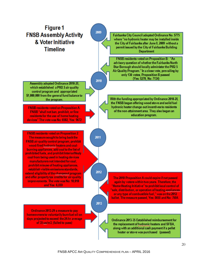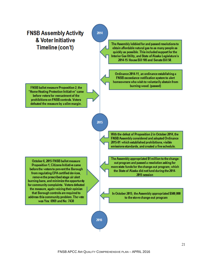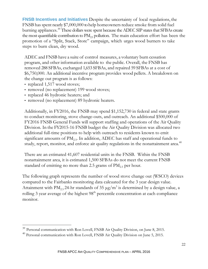**FNSB Incentives and Initiatives** Despite the uncertainty of local regulations, the FNSB has spent nearly \$7,000,000 to help homeowners reduce smoke from solid fuel burning appliances.<sup>39</sup> These dollars were spent because the ADEC SIP states that SFBAs create the most quantifiable contribution to  $PM_{25}$  pollution. The main education effort has been the promotion of a "Split, Stack, Store" campaign, which urges wood burners to take steps to burn clean, dry wood.

ADEC and FNSB have a suite of control measures, a voluntary burn cessation program, and other information available to the public. Overall, the FNSB has removed 288 SFBAs, exchanged 1,653 SFBAs, and repaired 59 SFBAs at a cost of \$6,750,000. An additional incentive program provides wood pellets. A breakdown on the change out program is as follows:

• replaced 1,517 wood stoves;

 $\overline{a}$ 

- removed (no replacement) 199 wood stoves;
- replaced 46 hydronic heaters; and
- removed (no replacement) 89 hydronic heaters.

Additionally, in FY2016, the FNSB may spend \$1,152,730 in federal and state grants to conduct monitoring, stove change-outs, and outreach. An additional \$500,000 of FY2016 FNSB General Funds will support staffing and operations of the Air Quality Division. In the FY2015-16 FNSB budget the Air Quality Division was allocated two additional full-time positions to help with outreach to residents known to emit significant amounts of  $PM_{2.5}$ . In addition, ADEC has staff and operational funds to study, report, monitor, and enforce air quality regulations in the nonattainment area.<sup>40</sup>

There are an estimated 41,607 residential units in the FNSB. Within the FNSB nonattainment area, it is estimated 1,500 SFBAs do not meet the current FNSB standard of emitting no more than 2.5 grams of  $PM_{2.5}$  per hour.

The following graph represents the number of wood stove change out (WSCO) devices compared to the Fairbanks monitoring data calcuated for the 3 year design value. Attainment with  $PM_{2.5}$  24-hr standards of 35  $\mu$ g/m<sup>3</sup> is determined by a design value, a rolling  $3$  year average of the highest  $98<sup>th</sup>$  percentile concentration at each compliance monitor.

 $39$  Personal communication with Ron Lovell, FNSB Air Quality Division, on June 8, 2015.

<sup>&</sup>lt;sup>40</sup> Personal communication with Ron Lovell, FNSB Air Quality Division on June 5, 2015.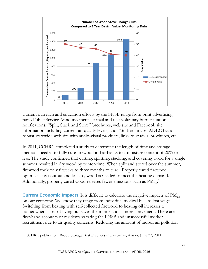

Current outreach and education efforts by the FNSB range from print advertising, radio Public Service Announcements, e-mail and text voluntary burn cessation notifications, "Split, Stack and Store" brochures, web site and Facebook site information including current air quality levels, and "Sniffer" maps. ADEC has a robust statewide web site with audio-visual products, links to studies, brochures, etc.

In 2011, CCHRC completed a study to determine the length of time and storage methods needed to fully cure firewood in Fairbanks to a moisture content of 20% or less. The study confirmed that cutting, splitting, stacking, and covering wood for a single summer resulted in dry wood by winter-time. When split and stored over the summer, firewood took only 6 weeks to three months to cure. Properly cured firewood optimizes heat output and less dry wood is needed to meet the heating demand. Additionally, properly cured wood releases fewer emissions such as  $\text{PM}_{2.5}$ .<sup>41</sup>

**Current Economic Impacts** It is difficult to calculate the negative impacts of PM<sub>2.5</sub> on our economy. We know they range from individual medical bills to lost wages. Switching from heating with self-collected firewood to heating oil increases a homeowner's cost of living but saves them time and is more convenient. There are first-hand accounts of residents vacating the FNSB and unsuccessful worker recruitment due to air quality concerns. Reducing the amount of indoor air pollution

 $\overline{a}$ <sup>41</sup> CCHRC publication Wood Storage Best Practices in Fairbanks, Alaska, June 27, 2011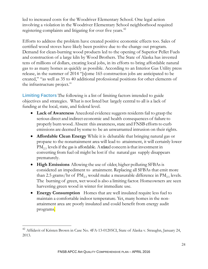led to increased costs for the Woodriver Elementary School. One legal action involving a violation in the Woodriver Elementary School neighborhood required registering complaints and litigating for over five years.<sup>42</sup>

Efforts to address the problem have created positive economic effects too. Sales of certified wood stoves have likely been positive due to the change out program. Demand for clean-burning wood products led to the opening of Superior Pellet Fuels and construction of a large kiln by Wood Brothers. The State of Alaska has invested tens of millions of dollars, creating local jobs, in its efforts to bring affordable natural gas to as many homes as quickly as possible. According to an Interior Gas Utility press release, in the summer of 2014 "[s]ome 165 construction jobs are anticipated to be created," "as well as 35 to 40 additional professional positions for other elements of the infrastructure project."

**Limiting Factors** The following is a list of limiting factors intended to guide objectives and strategies. What is not listed but largely central to all is a lack of funding at the local, state, and federal level.

- **Lack of Awareness** Anecdotal evidence suggests residents fail to grasp the serious direct and indirect economic and health consequences of failure to properly burn wood. Absent this awareness, state and FNSB efforts to curb emissions are deemed by some to be an unwarranted intrusion on their rights.
- **Affordable Clean Energy** While it is debatable that bringing natural gas or propane to the nonattainment area will lead to attainment, it will certainly lower  $PM_{2.5}$  levels if the gas is affordable. A related concern is that investment in converting from fuel oil might be lost if the natural gas supply disappears prematurely.
- **High Emissions** Allowing the use of older, higher polluting SFBAs is considered an impediment to attainment. Replacing all SFBAs that emit more than 2.5 grams/hr of PM<sub>2.5</sub> would make a measurable difference in PM<sub>2.5</sub> levels. The burning of green, wet wood is also a limiting factor. Homeowners are seen harvesting green wood in winter for immediate use.
- **Energy Consumption** Homes that are well insulated require less fuel to maintain a comfortable indoor temperature. Yet, many homes in the nonattainment area are poorly insulated and could benefit from energy audit programs.

<sup>42</sup> Affidavit of Kristen Brown in Case No. 4FA-13-01205CI, State of Alaska v. Straughn, January 24, 2013.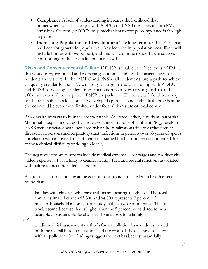- **Compliance** A lack of understanding increases the likelihood that homeowners will not comply with ADEC and FNSB measures to curb  $PM_{2.5}$ emissions. Currently ADEC's only mechanism to compel compliance is through litigation.
- **Increasing Population and Development** The long-term trend in Fairbanks has been for growth in population. Any increase in population most likely will include homes with wood heat, and this will continue to add future sources contributing to the air quality pollutant load.

**Risks and Consequences of Failure** If FNSB is unable to reduce levels of PM<sub>2.5</sub>, this would carry continued and worsening economic and health consequences for residents and visitors. If the ADEC and FNSB fail to demonstrate a path to achieve air quality standards, the EPA will play a larger role, partnering with ADEC and FNSB to develop a federal implementation plan identifying additional efforts required to improve FNSB air pollution. However, a federal plan may not be as flexible as a local or state-developed approach and individual home heating choices could be even more limited under federal than state or local control.

 $PM_{2.5}$  health impacts to humans are irrefutable. As stated earlier, a study at Fairbanks Memorial Hospital indicates that increased concentrations of ambient  $PM_{2.5}$  levels in FNSB were associated with increased risk of hospitalizations due to cardiovascular disease in all persons and respiratory tract infections in persons over 65 years of age. A correlation with increased risk of death is assumed but has not been documented due to the technical difficulty of doing so locally.

The negative economic impacts include medical expenses, lost wages and productivity, added expenses of switching to cleaner heating fuel, and federal sanctions associated with failure to meet the federal standard.

A study in California looking at the economic impacts associated with health effects found that:

families with children who have asthma are bearing a high cost. The total annual estimate between \$3,800 and \$4,000 represents 7 percent of median household income in our study in these two communities. This is troublesome because that is higher than the 5 percent considered to be a bearable or sustainable level of health care costs for a family

*and*

Traditional risk assessment methods for air pollution have underestimated both the overall burden of asthma and the cost of the disease associated with air pollution. Our findings suggest the cost has been substantially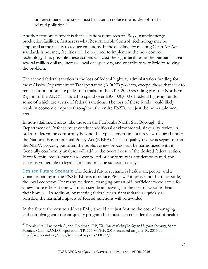underestimated and steps must be taken to reduce the burden of trafficrelated pollution.<sup>43</sup>

Another economic impact is that all stationary sources of  $PM_{2.5}$ , namely energy production facilities, first assess what Best Available Control Technology may be employed at the facility to reduce emissions. If the deadline for meeting Clean Air Act standards is not met, facilities will be required to implement the new control technology. It is possible these actions will cost the eight facilities in the Fairbanks area several million dollars, increase local energy costs, and contribute very little to solving the problem.

The second federal sanction is the loss of federal highway administration funding for most Alaska Department of Transportation (ADOT) projects, except those that seek to reduce air pollution like pedestrian trails. In the 2015-2020 spending plan the Northern Region of the ADOT is slated to spend over \$300,000,000 of federal highway funds, some of which are at risk of federal sanctions. The loss of these funds would likely result in economic impacts throughout the entire FNSB, not just the non-attainment area.

In non-attainment areas, like those in the Fairbanks North Star Borough, the Department of Defense must conduct additional environmental, air quality review in order to determine conformity beyond the typical environmental review required under the National Environmental Policy Act (NEPA). This air quality review is separate from the NEPA process, but often the public review process can be harmonized with it. Generally conformity analyses will add to the overall cost of the desired federal action. If conformity requirements are overlooked or conformity is not demonstrated, the action is vulnerable to legal action and may be subject to delays.

**Desired Future Scenario** The desired future scenario is healthy air, people, and a vibrant economy in the FNSB. Efforts to reduce  $PM_{2.5}$  will improve, not harm or stifle, the local economy. For many residents, changing out an old inefficient wood stove for a new more efficient one will mean significant savings in the cost of wood to heat their homes. In addition, by meeting federal clean air standards as quickly as possible, the harmful impacts of federal sanctions will be avoided.

In the future the cost to address  $PM_{25}$  should not just feature the cost of managing and complying with the air quality program but must also consider the cost of health

<sup>43</sup> Romley JA, Hackbarth A, and Goldman, DP, *The Impact of Air Quality on Hospital Spending*, Santa Monica, Calif.: RAND Corporation, TR-777-WFHF, 2010, accessed on June 10, 2015 at http://www.rand.org/pubs/technical\_reports/TR777/.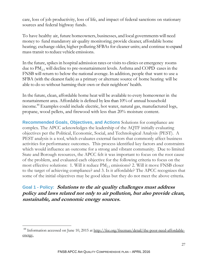care, loss of job productivity, loss of life, and impact of federal sanctions on stationary sources and federal highway funds.

To have healthy air, future homeowners, businesses, and local governments will need money to fund mandatory air quality monitoring; provide cleaner, affordable home heating; exchange older, higher polluting SFBAs for cleaner units; and continue to expand mass transit to reduce vehicle emissions.

In the future, spikes in hospital admission rates or visits to clinics or emergency rooms due to  $PM_{2.5}$  will decline to pre-nonattainment levels. Asthma and COPD cases in the FNSB will return to below the national average. In addition, people that want to use a SFBA (with the cleanest fuels) as a primary or alternate source of home heating will be able to do so without harming their own or their neighbors' health.

In the future, clean, affordable home heat will be available to every homeowner in the nonattainment area. Affordable is defined by less than 10% of annual household income.44 Examples could include electric, hot water, natural gas, manufactured logs, propane, wood pellets, and firewood with less than 20% moisture content.

**Recommended Goals, Objectives, and Actions** Solutions for compliance are complex. The APCC acknowledges the leadership of the AQTF initially evaluating objectives per the Political, Economic, Social, and Technological Analysis (PEST). A PEST analysis is a tool, which evaluates external factors that commonly affect business activities for performance outcomes. This process identified key factors and constraints which would influence an outcome for a strong and vibrant community. Due to limited State and Borough resources, the APCC felt it was important to focus on the root cause of the problem, and evaluated each objective for the following criteria to focus on the most effective solutions: 1. Will it reduce  $PM_{2.5}$  emissions? 2. Will it move FNSB closer to the target of achieving compliance? and 3. Is it affordable? The APCC recognizes that some of the initial objectives may be good ideas but they do not meet the above criteria.

**Goal 1 - Policy: Solutions to the air quality challenges must address policy and laws related not only to air pollution, but also provide clean, sustainable, and economic energy sources.** 

 $^{44}$  Information accessed on June 10, 2015 at http://fee.org/freeman/detail/the-poor-need-affordableenergy.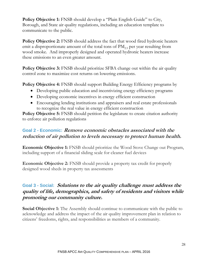**Policy Objective 1:** FNSB should develop a "Plain English Guide" to City, Borough, and State air quality regulations, including an education template to communicate to the public.

**Policy Objective 2:** FNSB should address the fact that wood fired hydronic heaters emit a disproportionate amount of the total tons of  $PM<sub>25</sub>$  per year resulting from wood smoke. And improperly designed and operated hydronic heaters increase these emissions to an even greater amount.

**Policy Objective 3:** FNSB should prioritize SFBA change out within the air quality control zone to maximize cost returns on lowering emissions.

**Policy Objective 4:** FNSB should support Building Energy Efficiency programs by

- Developing public education and incentivizing energy efficiency programs
- Developing economic incentives in energy efficient construction
- Encouraging lending institutions and appraisers and real estate professionals to recognize the real value in energy efficient construction

**Policy Objective 5:** FNSB should petition the legislature to create citation authority to enforce air pollution regulations

## **Goal 2 - Economic: Remove economic obstacles associated with the reduction of air pollution to levels necessary to protect human health.**

**Economic Objective 1:** FNSB should prioritize the Wood Stove Change out Program, including support of a financial sliding scale for cleaner fuel devices

**Economic Objective 2:** FNSB should provide a property tax credit for properly designed wood sheds in property tax assessments

## **Goal 3 - Social: Solutions to the air quality challenge must address the quality of life, demographics, and safety of residents and visitors while promoting our community culture.**

**Social Objective 1:** The Assembly should continue to communicate with the public to acknowledge and address the impact of the air quality improvement plan in relation to citizens' freedoms, rights, and responsibilities as members of a community.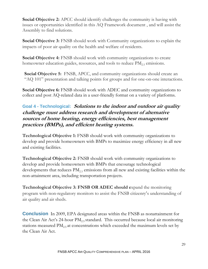**Social Objective 2:** APCC should identify challenges the community is having with issues or opportunities identified in this AQ Framework document , and will assist the Assembly to find solutions.

**Social Objective 3:** FNSB should work with Community organizations to explain the impacts of poor air quality on the health and welfare of residents.

**Social Objective 4:** FNSB should work with community organizations to create homeowner education guides, resources, and tools to reduce  $PM_{25}$  emissions.

**Social Objective 5:** FNSB, APCC, and community organizations should create an "AQ 101" presentation and talking points for groups and for one-on-one interactions.

**Social Objective 6:** FNSB should work with ADEC and community organizations to collect and post AQ-related data in a user-friendly format on a variety of platforms.

## **Goal 4 - Technological: Solutions to the indoor and outdoor air quality challenge must address research and development of alternative sources of home heating, energy efficiencies, best management practices (BMPs), and efficient heating systems.**

**Technological Objective 1:** FNSB should work with community organizations to develop and provide homeowners with BMPs to maximize energy efficiency in all new and existing facilities.

**Technological Objective 2:** FNSB should work with community organizations to develop and provide homeowners with BMPs that encourage technological developments that reduces  $PM_{25}$  emissions from all new and existing facilities within the non-attainment area, including transportation projects.

**Technological Objective 3: FNSB OR ADEC should e**xpand the monitoring program with non-regulatory monitors to assist the FNSB citizenry's understanding of air quality and air sheds.

**Conclusion** In 2009, EPA designated areas within the FNSB as nonattainment for the Clean Air Act's 24-hour  $PM_{2.5}$  standard. This occurred because local air monitoring stations measured  $PM_{2.5}$  at concentrations which exceeded the maximum levels set by the Clean Air Act.